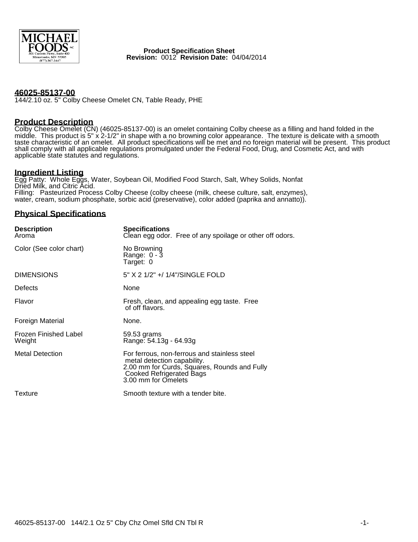

 **Product Specification Sheet Revision:** 0012 **Revision Date:** 04/04/2014

## **46025-85137-00**

144/2.10 oz. 5" Colby Cheese Omelet CN, Table Ready, PHE

## **Product Description**

Colby Cheese Omelet (CN) (46025-85137-00) is an omelet containing Colby cheese as a filling and hand folded in the middle. This product is 5" x 2-1/2" in shape with a no browning color appearance. The texture is delicate with a smooth taste characteristic of an omelet. All product specifications will be met and no foreign material will be present. This product shall comply with all applicable regulations promulgated under the Federal Food, Drug, and Cosmetic Act, and with applicable state statutes and regulations.

#### **Ingredient Listing**

Egg Patty: Whole Eggs, Water, Soybean Oil, Modified Food Starch, Salt, Whey Solids, Nonfat Dried Milk, and Citric Acid. Filling: Pasteurized Process Colby Cheese (colby cheese (milk, cheese culture, salt, enzymes), water, cream, sodium phosphate, sorbic acid (preservative), color added (paprika and annatto)).

## **Physical Specifications**

| <b>Description</b><br>Aroma            | <b>Specifications</b><br>Clean egg odor. Free of any spoilage or other off odors.                                                                                                     |
|----------------------------------------|---------------------------------------------------------------------------------------------------------------------------------------------------------------------------------------|
| Color (See color chart)                | No Browning<br>Range: $0 - 3$<br>Target: 0                                                                                                                                            |
| <b>DIMENSIONS</b>                      | 5" X 2 1/2" +/ 1/4"/SINGLE FOLD                                                                                                                                                       |
| Defects                                | None                                                                                                                                                                                  |
| Flavor                                 | Fresh, clean, and appealing egg taste. Free<br>of off flavors.                                                                                                                        |
| Foreign Material                       | None.                                                                                                                                                                                 |
| <b>Frozen Finished Label</b><br>Weight | 59.53 grams<br>Range: 54.13g - 64.93g                                                                                                                                                 |
| <b>Metal Detection</b>                 | For ferrous, non-ferrous and stainless steel<br>metal detection capability.<br>2.00 mm for Curds, Squares, Rounds and Fully<br><b>Cooked Refrigerated Bags</b><br>3.00 mm for Omelets |
| Texture                                | Smooth texture with a tender bite.                                                                                                                                                    |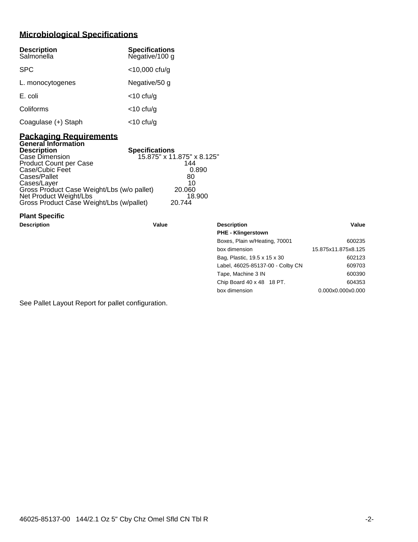# **Microbiological Specifications**

| <b>Description</b><br>Salmonella | <b>Specifications</b><br>Negative/100 g |
|----------------------------------|-----------------------------------------|
| <b>SPC</b>                       | $<$ 10,000 cfu/g                        |
| L. monocytogenes                 | Negative/50 g                           |
| E. coli                          | $<$ 10 cfu/g                            |
| Coliforms                        | $<$ 10 cfu/g                            |
| Coagulase (+) Staph              | <10 cfu/g                               |

## **Packaging Requirements General Information**

| <b>Description</b>                         | <b>Specifications</b>      |
|--------------------------------------------|----------------------------|
| Case Dimension                             | 15.875" x 11.875" x 8.125" |
| Product Count per Case                     | 144                        |
| Case/Cubic Feet                            | 0.890                      |
| Cases/Pallet                               | 80                         |
| Cases/Layer                                | 10                         |
| Gross Product Case Weight/Lbs (w/o pallet) | 20,060                     |
| Net Product Weight/Lbs                     | 18.900                     |
| Gross Product Case Weight/Lbs (w/pallet)   | 20.744                     |

# **Plant Specific**

| Description | Value | <b>Description</b>               | Value               |
|-------------|-------|----------------------------------|---------------------|
|             |       | <b>PHE - Klingerstown</b>        |                     |
|             |       | Boxes, Plain w/Heating, 70001    | 600235              |
|             |       | box dimension                    | 15.875x11.875x8.125 |
|             |       | Bag, Plastic, 19.5 x 15 x 30     | 602123              |
|             |       | Label, 46025-85137-00 - Colby CN | 609703              |
|             |       | Tape, Machine 3 IN               | 600390              |
|             |       | Chip Board 40 x 48 18 PT.        | 604353              |
|             |       | box dimension                    | 0.000x0.000x0.000   |
|             |       |                                  |                     |

See Pallet Layout Report for pallet configuration.